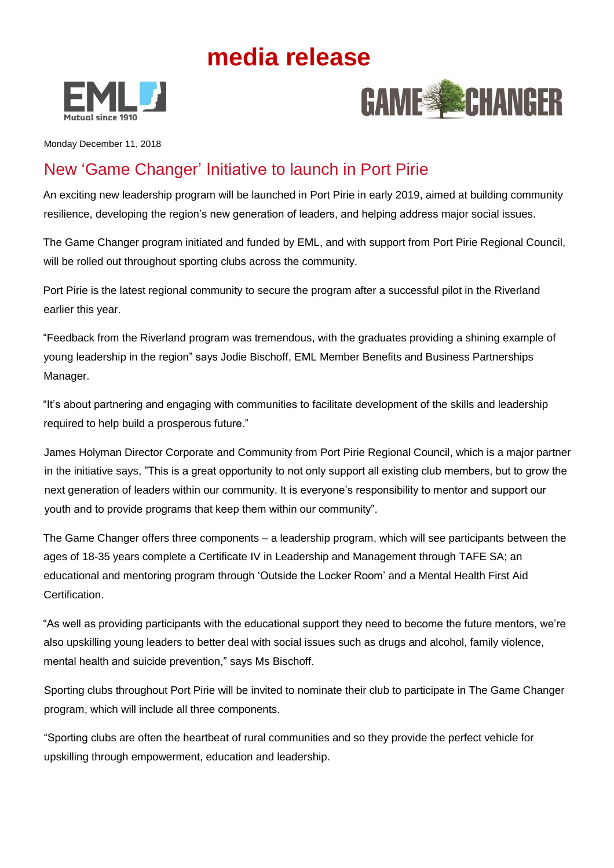## **media release**





Monday December 11, 2018

## New 'Game Changer' Initiative to launch in Port Pirie

An exciting new leadership program will be launched in Port Pirie in early 2019, aimed at building community resilience, developing the region's new generation of leaders, and helping address major social issues.

The Game Changer program initiated and funded by EML, and with support from Port Pirie Regional Council, will be rolled out throughout sporting clubs across the community.

Port Pirie is the latest regional community to secure the program after a successful pilot in the Riverland earlier this year.

"Feedback from the Riverland program was tremendous, with the graduates providing a shining example of young leadership in the region" says Jodie Bischoff, EML Member Benefits and Business Partnerships Manager.

"It's about partnering and engaging with communities to facilitate development of the skills and leadership required to help build a prosperous future."

James Holyman Director Corporate and Community from Port Pirie Regional Council, which is a major partner in the initiative says, "This is a great opportunity to not only support all existing club members, but to grow the next generation of leaders within our community. It is everyone's responsibility to mentor and support our youth and to provide programs that keep them within our community".

The Game Changer offers three components – a leadership program, which will see participants between the ages of 18-35 years complete a Certificate IV in Leadership and Management through TAFE SA; an educational and mentoring program through 'Outside the Locker Room' and a Mental Health First Aid Certification.

"As well as providing participants with the educational support they need to become the future mentors, we're also upskilling young leaders to better deal with social issues such as drugs and alcohol, family violence, mental health and suicide prevention," says Ms Bischoff.

Sporting clubs throughout Port Pirie will be invited to nominate their club to participate in The Game Changer program, which will include all three components.

"Sporting clubs are often the heartbeat of rural communities and so they provide the perfect vehicle for upskilling through empowerment, education and leadership.